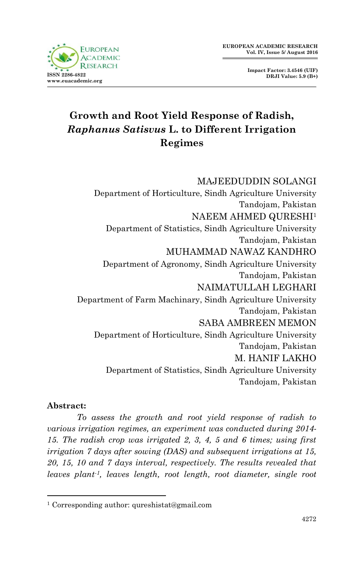



# **Growth and Root Yield Response of Radish,**  *Raphanus Satisvus* **L. to Different Irrigation Regimes**

MAJEEDUDDIN SOLANGI Department of Horticulture, Sindh Agriculture University Tandojam, Pakistan NAEEM AHMED QURESHI<sup>1</sup> Department of Statistics, Sindh Agriculture University Tandojam, Pakistan MUHAMMAD NAWAZ KANDHRO Department of Agronomy, Sindh Agriculture University Tandojam, Pakistan NAIMATULLAH LEGHARI Department of Farm Machinary, Sindh Agriculture University Tandojam, Pakistan SABA AMBREEN MEMON Department of Horticulture, Sindh Agriculture University Tandojam, Pakistan M. HANIF LAKHO Department of Statistics, Sindh Agriculture University Tandojam, Pakistan

#### **Abstract:**

1

*To assess the growth and root yield response of radish to various irrigation regimes, an experiment was conducted during 2014- 15. The radish crop was irrigated 2, 3, 4, 5 and 6 times; using first irrigation 7 days after sowing (DAS) and subsequent irrigations at 15, 20, 15, 10 and 7 days interval, respectively. The results revealed that leaves plant-1, leaves length, root length, root diameter, single root* 

<sup>1</sup> Corresponding author: qureshistat@gmail.com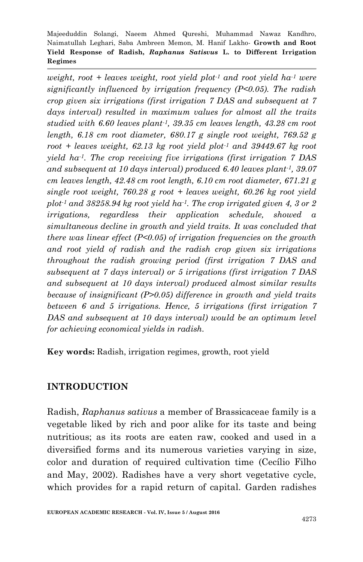*weight, root + leaves weight, root yield plot-1 and root yield ha-1 were significantly influenced by irrigation frequency (P<0.05). The radish crop given six irrigations (first irrigation 7 DAS and subsequent at 7 days interval) resulted in maximum values for almost all the traits studied with 6.60 leaves plant-1, 39.35 cm leaves length, 43.28 cm root length, 6.18 cm root diameter, 680.17 g single root weight, 769.52 g root + leaves weight, 62.13 kg root yield plot-1 and 39449.67 kg root yield ha-1. The crop receiving five irrigations (first irrigation 7 DAS and subsequent at 10 days interval) produced 6.40 leaves plant-1, 39.07 cm leaves length, 42.48 cm root length, 6.10 cm root diameter, 671.21 g single root weight, 760.28 g root + leaves weight, 60.26 kg root yield plot-1 and 38258.94 kg root yield ha-1. The crop irrigated given 4, 3 or 2 irrigations, regardless their application schedule, showed a simultaneous decline in growth and yield traits. It was concluded that there was linear effect (P<0.05) of irrigation frequencies on the growth and root yield of radish and the radish crop given six irrigations throughout the radish growing period (first irrigation 7 DAS and subsequent at 7 days interval) or 5 irrigations (first irrigation 7 DAS and subsequent at 10 days interval) produced almost similar results because of insignificant (P>0.05) difference in growth and yield traits between 6 and 5 irrigations. Hence, 5 irrigations (first irrigation 7 DAS and subsequent at 10 days interval) would be an optimum level for achieving economical yields in radish.* 

**Key words:** Radish, irrigation regimes, growth, root yield

## **INTRODUCTION**

Radish, *Raphanus sativus* a member of Brassicaceae family is a vegetable liked by rich and poor alike for its taste and being nutritious; as its roots are eaten raw, cooked and used in a diversified forms and its numerous varieties varying in size, color and duration of required cultivation time (Cecílio Filho and May, 2002). Radishes have a very short vegetative cycle, which provides for a rapid return of capital. Garden radishes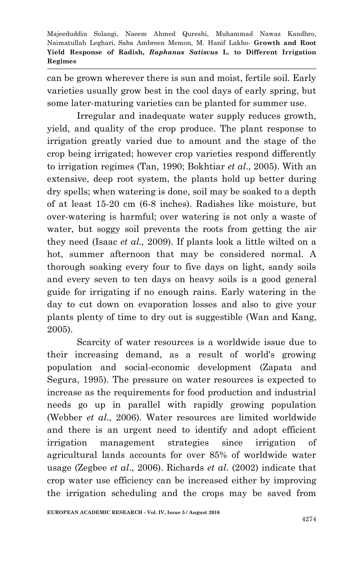can be grown wherever there is sun and moist, fertile soil. Early varieties usually grow best in the cool days of early spring, but some later-maturing varieties can be planted for summer use.

Irregular and inadequate water supply reduces growth, yield, and quality of the crop produce. The plant response to irrigation greatly varied due to amount and the stage of the crop being irrigated; however crop varieties respond differently to irrigation regimes (Tan, 1990; Bokhtiar *et al*., 2005). With an extensive, deep root system, the plants hold up better during dry spells; when watering is done, soil may be soaked to a depth of at least 15-20 cm (6-8 inches). Radishes like moisture, but over-watering is harmful; over watering is not only a waste of water, but soggy soil prevents the roots from getting the air they need (Isaac *et al.,* 2009). If plants look a little wilted on a hot, summer afternoon that may be considered normal. A thorough soaking every four to five days on light, sandy soils and every seven to ten days on heavy soils is a good general guide for irrigating if no enough rains. Early watering in the day to cut down on evaporation losses and also to give your plants plenty of time to dry out is suggestible (Wan and Kang, 2005).

Scarcity of water resources is a worldwide issue due to their increasing demand, as a result of world's growing population and social-economic development (Zapata and Segura, 1995). The pressure on water resources is expected to increase as the requirements for food production and industrial needs go up in parallel with rapidly growing population (Webber *et al*., 2006). Water resources are limited worldwide and there is an urgent need to identify and adopt efficient irrigation management strategies since irrigation of agricultural lands accounts for over 85% of worldwide water usage (Zegbee *et al*., 2006). Richards *et al*. (2002) indicate that crop water use efficiency can be increased either by improving the irrigation scheduling and the crops may be saved from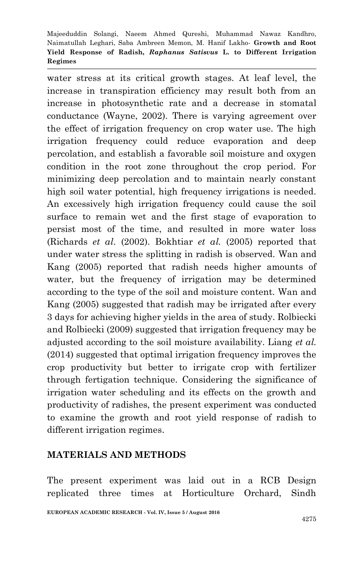water stress at its critical growth stages. At leaf level, the increase in transpiration efficiency may result both from an increase in photosynthetic rate and a decrease in stomatal conductance (Wayne, 2002). There is varying agreement over the effect of irrigation frequency on crop water use. The high irrigation frequency could reduce evaporation and deep percolation, and establish a favorable soil moisture and oxygen condition in the root zone throughout the crop period. For minimizing deep percolation and to maintain nearly constant high soil water potential, high frequency irrigations is needed. An excessively high irrigation frequency could cause the soil surface to remain wet and the first stage of evaporation to persist most of the time, and resulted in more water loss (Richards *et al*. (2002). Bokhtiar *et al.* (2005) reported that under water stress the splitting in radish is observed. Wan and Kang (2005) reported that radish needs higher amounts of water, but the frequency of irrigation may be determined according to the type of the soil and moisture content. Wan and Kang (2005) suggested that radish may be irrigated after every 3 days for achieving higher yields in the area of study. Rolbiecki and Rolbiecki (2009) suggested that irrigation frequency may be adjusted according to the soil moisture availability. Liang *et al.* (2014) suggested that optimal irrigation frequency improves the crop productivity but better to irrigate crop with fertilizer through fertigation technique. Considering the significance of irrigation water scheduling and its effects on the growth and productivity of radishes, the present experiment was conducted to examine the growth and root yield response of radish to different irrigation regimes.

## **MATERIALS AND METHODS**

The present experiment was laid out in a RCB Design replicated three times at Horticulture Orchard, Sindh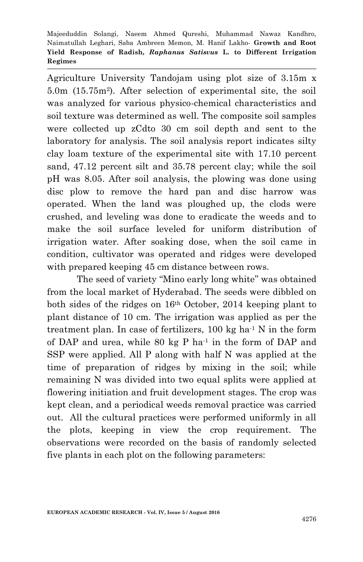Agriculture University Tandojam using plot size of 3.15m x 5.0m (15.75m<sup>2</sup> ). After selection of experimental site, the soil was analyzed for various physico-chemical characteristics and soil texture was determined as well. The composite soil samples were collected up zCdto 30 cm soil depth and sent to the laboratory for analysis. The soil analysis report indicates silty clay loam texture of the experimental site with 17.10 percent sand, 47.12 percent silt and 35.78 percent clay; while the soil pH was 8.05. After soil analysis, the plowing was done using disc plow to remove the hard pan and disc harrow was operated. When the land was ploughed up, the clods were crushed, and leveling was done to eradicate the weeds and to make the soil surface leveled for uniform distribution of irrigation water. After soaking dose, when the soil came in condition, cultivator was operated and ridges were developed with prepared keeping 45 cm distance between rows.

The seed of variety "Mino early long white" was obtained from the local market of Hyderabad. The seeds were dibbled on both sides of the ridges on 16th October, 2014 keeping plant to plant distance of 10 cm. The irrigation was applied as per the treatment plan. In case of fertilizers,  $100 \text{ kg}$  ha<sup>-1</sup> N in the form of DAP and urea, while 80 kg P ha-1 in the form of DAP and SSP were applied. All P along with half N was applied at the time of preparation of ridges by mixing in the soil; while remaining N was divided into two equal splits were applied at flowering initiation and fruit development stages. The crop was kept clean, and a periodical weeds removal practice was carried out. All the cultural practices were performed uniformly in all the plots, keeping in view the crop requirement. The observations were recorded on the basis of randomly selected five plants in each plot on the following parameters: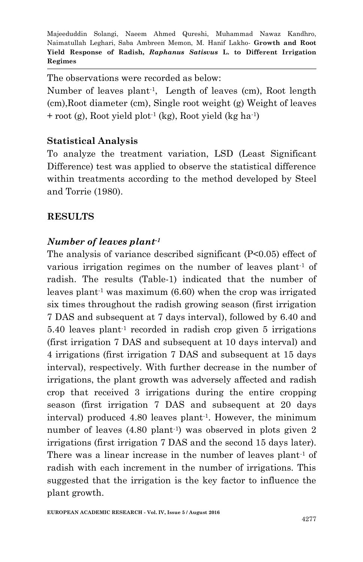The observations were recorded as below:

Number of leaves plant-1 , Length of leaves (cm), Root length (cm),Root diameter (cm), Single root weight (g) Weight of leaves + root (g), Root yield plot-1 (kg), Root yield (kg ha-1 )

## **Statistical Analysis**

To analyze the treatment variation, LSD (Least Significant Difference) test was applied to observe the statistical difference within treatments according to the method developed by Steel and Torrie (1980).

## **RESULTS**

## *Number of leaves plant-1*

The analysis of variance described significant (P<0.05) effect of various irrigation regimes on the number of leaves plant-1 of radish. The results (Table-1) indicated that the number of leaves plant<sup>-1</sup> was maximum  $(6.60)$  when the crop was irrigated six times throughout the radish growing season (first irrigation 7 DAS and subsequent at 7 days interval), followed by 6.40 and 5.40 leaves plant-1 recorded in radish crop given 5 irrigations (first irrigation 7 DAS and subsequent at 10 days interval) and 4 irrigations (first irrigation 7 DAS and subsequent at 15 days interval), respectively. With further decrease in the number of irrigations, the plant growth was adversely affected and radish crop that received 3 irrigations during the entire cropping season (first irrigation 7 DAS and subsequent at 20 days interval) produced 4.80 leaves plant-1 . However, the minimum number of leaves (4.80 plant<sup>-1</sup>) was observed in plots given 2 irrigations (first irrigation 7 DAS and the second 15 days later). There was a linear increase in the number of leaves plant<sup>1</sup> of radish with each increment in the number of irrigations. This suggested that the irrigation is the key factor to influence the plant growth.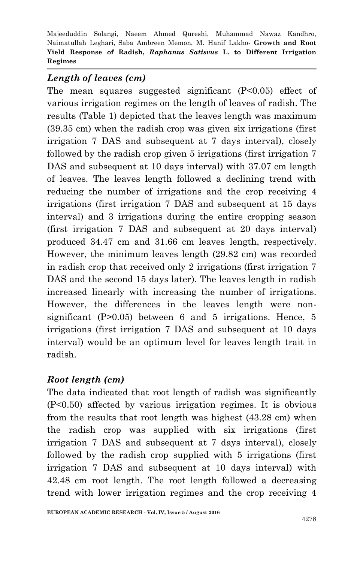# *Length of leaves (cm)*

The mean squares suggested significant (P<0.05) effect of various irrigation regimes on the length of leaves of radish. The results (Table 1) depicted that the leaves length was maximum (39.35 cm) when the radish crop was given six irrigations (first irrigation 7 DAS and subsequent at 7 days interval), closely followed by the radish crop given 5 irrigations (first irrigation 7 DAS and subsequent at 10 days interval) with 37.07 cm length of leaves. The leaves length followed a declining trend with reducing the number of irrigations and the crop receiving 4 irrigations (first irrigation 7 DAS and subsequent at 15 days interval) and 3 irrigations during the entire cropping season (first irrigation 7 DAS and subsequent at 20 days interval) produced 34.47 cm and 31.66 cm leaves length, respectively. However, the minimum leaves length (29.82 cm) was recorded in radish crop that received only 2 irrigations (first irrigation 7 DAS and the second 15 days later). The leaves length in radish increased linearly with increasing the number of irrigations. However, the differences in the leaves length were nonsignificant (P>0.05) between 6 and 5 irrigations. Hence, 5 irrigations (first irrigation 7 DAS and subsequent at 10 days interval) would be an optimum level for leaves length trait in radish.

## *Root length (cm)*

The data indicated that root length of radish was significantly (P<0.50) affected by various irrigation regimes. It is obvious from the results that root length was highest (43.28 cm) when the radish crop was supplied with six irrigations (first irrigation 7 DAS and subsequent at 7 days interval), closely followed by the radish crop supplied with 5 irrigations (first irrigation 7 DAS and subsequent at 10 days interval) with 42.48 cm root length. The root length followed a decreasing trend with lower irrigation regimes and the crop receiving 4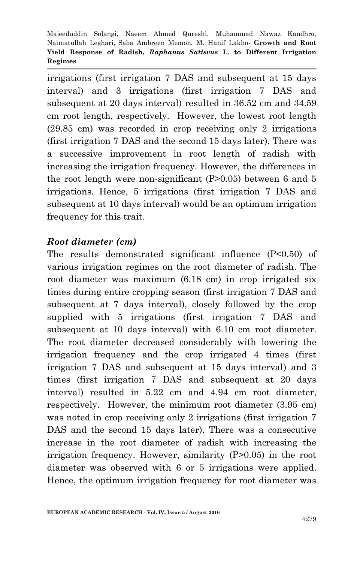irrigations (first irrigation 7 DAS and subsequent at 15 days interval) and 3 irrigations (first irrigation 7 DAS and subsequent at 20 days interval) resulted in 36.52 cm and 34.59 cm root length, respectively. However, the lowest root length (29.85 cm) was recorded in crop receiving only 2 irrigations (first irrigation 7 DAS and the second 15 days later). There was a successive improvement in root length of radish with increasing the irrigation frequency. However, the differences in the root length were non-significant (P>0.05) between 6 and 5 irrigations. Hence, 5 irrigations (first irrigation 7 DAS and subsequent at 10 days interval) would be an optimum irrigation frequency for this trait.

## *Root diameter (cm)*

The results demonstrated significant influence (P<0.50) of various irrigation regimes on the root diameter of radish. The root diameter was maximum (6.18 cm) in crop irrigated six times during entire cropping season (first irrigation 7 DAS and subsequent at 7 days interval), closely followed by the crop supplied with 5 irrigations (first irrigation 7 DAS and subsequent at 10 days interval) with 6.10 cm root diameter. The root diameter decreased considerably with lowering the irrigation frequency and the crop irrigated 4 times (first irrigation 7 DAS and subsequent at 15 days interval) and 3 times (first irrigation 7 DAS and subsequent at 20 days interval) resulted in 5.22 cm and 4.94 cm root diameter, respectively. However, the minimum root diameter (3.95 cm) was noted in crop receiving only 2 irrigations (first irrigation 7 DAS and the second 15 days later). There was a consecutive increase in the root diameter of radish with increasing the irrigation frequency. However, similarity (P>0.05) in the root diameter was observed with 6 or 5 irrigations were applied. Hence, the optimum irrigation frequency for root diameter was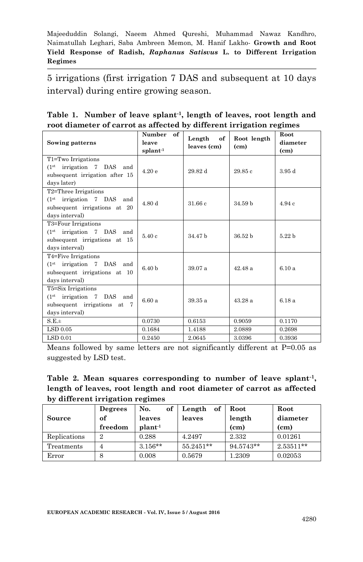5 irrigations (first irrigation 7 DAS and subsequent at 10 days interval) during entire growing season.

|  |  | Table 1. Number of leave splant <sup>-1</sup> , length of leaves, root length and |  |  |
|--|--|-----------------------------------------------------------------------------------|--|--|
|  |  | root diameter of carrot as affected by different irrigation regimes               |  |  |

| Sowing patterns                                                                                                              | of<br>Number<br>leave<br>$s$ plant <sup>-1</sup> | Length<br>of<br>leaves (cm) | Root length<br>(c <sub>m</sub> ) | Root<br>diameter<br>(c <sub>m</sub> ) |
|------------------------------------------------------------------------------------------------------------------------------|--------------------------------------------------|-----------------------------|----------------------------------|---------------------------------------|
| T1=Two Irrigations<br>(1 <sup>st</sup> irrigation 7 DAS and)<br>subsequent irrigation after 15<br>days later)                | 4.20e                                            | 29.82d                      | 29.85c                           | 3.95d                                 |
| T2=Three Irrigations<br>(1 <sup>st</sup> irrigation 7 DAS and)<br>subsequent irrigations at 20<br>days interval)             | 4.80d                                            | 31.66c                      | 34.59 h                          | 4.94c                                 |
| T <sub>3</sub> =Four Irrigations<br>(1 <sup>st</sup> irrigation 7 DAS and)<br>subsequent irrigations at 15<br>days interval) | 5.40c                                            | 34.47 h                     | 36.52 <sub>b</sub>               | 5.22 <sub>b</sub>                     |
| T <sub>4</sub> =Five Irrigations<br>(1 <sup>st</sup> irrigation 7 DAS and)<br>subsequent irrigations at 10<br>days interval) | 6.40 <sub>b</sub>                                | 39.07 a                     | 42.48a                           | 6.10a                                 |
| T5=Six Irrigations<br>(1 <sup>st</sup> irrigation 7 DAS and)<br>subsequent irrigations at 7<br>days interval)                | 6.60a                                            | 39.35 a                     | 43.28a                           | 6.18 a                                |
| S.E.±                                                                                                                        | 0.0730                                           | 0.6153                      | 0.9059                           | 0.1170                                |
| LSD 0.05                                                                                                                     | 0.1684                                           | 1.4188                      | 2.0889                           | 0.2698                                |
| <b>LSD 0.01</b>                                                                                                              | 0.2450                                           | 2.0645                      | 3.0396                           | 0.3936                                |

Means followed by same letters are not significantly different at P=0.05 as suggested by LSD test.

|  |                                 | Table 2. Mean squares corresponding to number of leave splant <sup>-1</sup> , |  |  |  |
|--|---------------------------------|-------------------------------------------------------------------------------|--|--|--|
|  |                                 | length of leaves, root length and root diameter of carrot as affected         |  |  |  |
|  | by different irrigation regimes |                                                                               |  |  |  |

|              | Degrees        | No.<br>of             | of<br>Length | Root      | Root              |
|--------------|----------------|-----------------------|--------------|-----------|-------------------|
| Source       | of             | leaves                | leaves       | length    | diameter          |
|              | freedom        | $\mathbf{plant}^{-1}$ |              | (cm)      | (c <sub>m</sub> ) |
| Replications | $\overline{2}$ | 0.288                 | 4.2497       | 2.332     | 0.01261           |
| Treatments   |                | $3.156**$             | 55.2451**    | 94.5743** | $2.53511**$       |
| Error        | 8              | 0.008                 | 0.5679       | 1.2309    | 0.02053           |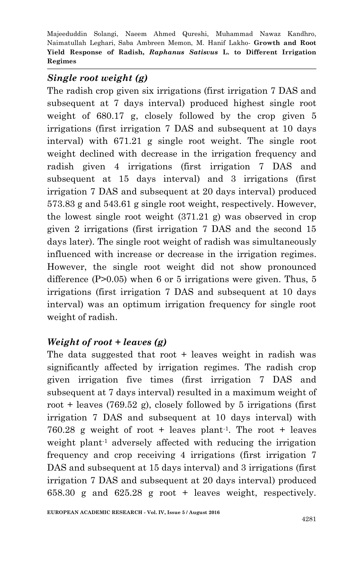# *Single root weight (g)*

The radish crop given six irrigations (first irrigation 7 DAS and subsequent at 7 days interval) produced highest single root weight of 680.17 g, closely followed by the crop given 5 irrigations (first irrigation 7 DAS and subsequent at 10 days interval) with 671.21 g single root weight. The single root weight declined with decrease in the irrigation frequency and radish given 4 irrigations (first irrigation 7 DAS and subsequent at 15 days interval) and 3 irrigations (first irrigation 7 DAS and subsequent at 20 days interval) produced 573.83 g and 543.61 g single root weight, respectively. However, the lowest single root weight (371.21 g) was observed in crop given 2 irrigations (first irrigation 7 DAS and the second 15 days later). The single root weight of radish was simultaneously influenced with increase or decrease in the irrigation regimes. However, the single root weight did not show pronounced difference (P>0.05) when 6 or 5 irrigations were given. Thus, 5 irrigations (first irrigation 7 DAS and subsequent at 10 days interval) was an optimum irrigation frequency for single root weight of radish.

# *Weight of root + leaves (g)*

The data suggested that root + leaves weight in radish was significantly affected by irrigation regimes. The radish crop given irrigation five times (first irrigation 7 DAS and subsequent at 7 days interval) resulted in a maximum weight of root + leaves  $(769.52 \text{ g})$ , closely followed by 5 irrigations (first irrigation 7 DAS and subsequent at 10 days interval) with 760.28 g weight of root + leaves plant-1 . The root + leaves weight plant-1 adversely affected with reducing the irrigation frequency and crop receiving 4 irrigations (first irrigation 7 DAS and subsequent at 15 days interval) and 3 irrigations (first irrigation 7 DAS and subsequent at 20 days interval) produced 658.30 g and 625.28 g root + leaves weight, respectively.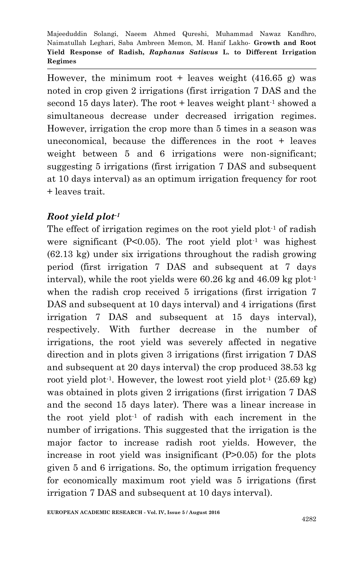However, the minimum root + leaves weight  $(416.65 \text{ g})$  was noted in crop given 2 irrigations (first irrigation 7 DAS and the second 15 days later). The root  $+$  leaves weight plant<sup>-1</sup> showed a simultaneous decrease under decreased irrigation regimes. However, irrigation the crop more than 5 times in a season was uneconomical, because the differences in the root + leaves weight between 5 and 6 irrigations were non-significant; suggesting 5 irrigations (first irrigation 7 DAS and subsequent at 10 days interval) as an optimum irrigation frequency for root + leaves trait.

# *Root yield plot-1*

The effect of irrigation regimes on the root yield  $plot<sup>-1</sup>$  of radish were significant ( $P<0.05$ ). The root yield plot<sup>-1</sup> was highest (62.13 kg) under six irrigations throughout the radish growing period (first irrigation 7 DAS and subsequent at 7 days interval), while the root yields were  $60.26$  kg and  $46.09$  kg plot<sup>1</sup> when the radish crop received 5 irrigations (first irrigation 7 DAS and subsequent at 10 days interval) and 4 irrigations (first irrigation 7 DAS and subsequent at 15 days interval), respectively. With further decrease in the number of irrigations, the root yield was severely affected in negative direction and in plots given 3 irrigations (first irrigation 7 DAS and subsequent at 20 days interval) the crop produced 38.53 kg root yield plot<sup>-1</sup>. However, the lowest root yield plot<sup>-1</sup>  $(25.69 \text{ kg})$ was obtained in plots given 2 irrigations (first irrigation 7 DAS and the second 15 days later). There was a linear increase in the root yield plot-1 of radish with each increment in the number of irrigations. This suggested that the irrigation is the major factor to increase radish root yields. However, the increase in root yield was insignificant (P>0.05) for the plots given 5 and 6 irrigations. So, the optimum irrigation frequency for economically maximum root yield was 5 irrigations (first irrigation 7 DAS and subsequent at 10 days interval).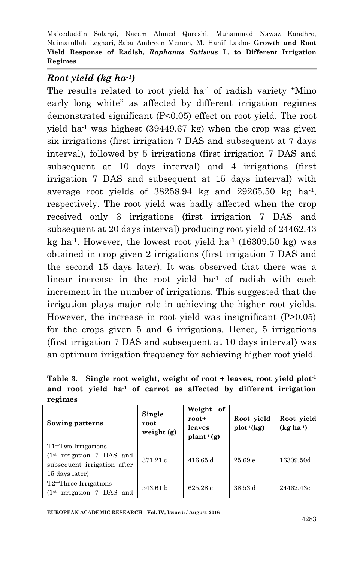# *Root yield (kg ha-1)*

The results related to root yield  $ha<sup>-1</sup>$  of radish variety "Mino" early long white" as affected by different irrigation regimes demonstrated significant (P<0.05) effect on root yield. The root yield ha<sup>-1</sup> was highest (39449.67 kg) when the crop was given six irrigations (first irrigation 7 DAS and subsequent at 7 days interval), followed by 5 irrigations (first irrigation 7 DAS and subsequent at 10 days interval) and 4 irrigations (first irrigation 7 DAS and subsequent at 15 days interval) with average root yields of  $38258.94$  kg and  $29265.50$  kg ha<sup>-1</sup>, respectively. The root yield was badly affected when the crop received only 3 irrigations (first irrigation 7 DAS and subsequent at 20 days interval) producing root yield of 24462.43 kg ha<sup>-1</sup>. However, the lowest root yield ha<sup>-1</sup> (16309.50 kg) was obtained in crop given 2 irrigations (first irrigation 7 DAS and the second 15 days later). It was observed that there was a linear increase in the root yield  $ha<sup>-1</sup>$  of radish with each increment in the number of irrigations. This suggested that the irrigation plays major role in achieving the higher root yields. However, the increase in root yield was insignificant (P>0.05) for the crops given 5 and 6 irrigations. Hence, 5 irrigations (first irrigation 7 DAS and subsequent at 10 days interval) was an optimum irrigation frequency for achieving higher root yield.

**Table 3. Single root weight, weight of root + leaves, root yield plot-1 and root yield ha-1 of carrot as affected by different irrigation regimes**

| Sowing patterns                                                                                               | Single<br>root<br>weight $(g)$ | Weight<br>of<br>$root+$<br>leaves<br>$\text{plant}^{-1}(\text{g})$ | Root yield<br>$plot^{-1}(kg)$ | Root yield<br>$(kg ha-1)$ |
|---------------------------------------------------------------------------------------------------------------|--------------------------------|--------------------------------------------------------------------|-------------------------------|---------------------------|
| T1=Two Irrigations<br>(1 <sup>st</sup> irrigation 7 DAS and)<br>subsequent irrigation after<br>15 days later) | 371.21c                        | 416.65 d                                                           | 25.69e                        | 16309.50d                 |
| T2=Three Irrigations<br>(1 <sup>st</sup> irrigation 7 DAS and)                                                | 543.61 b                       | 625.28c                                                            | 38.53 d                       | 24462.43c                 |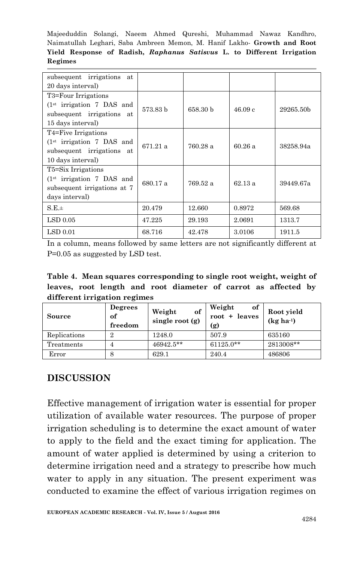| subsequent irrigations at<br>20 days interval)                                                                               |          |          |        |           |
|------------------------------------------------------------------------------------------------------------------------------|----------|----------|--------|-----------|
| T <sub>3</sub> =Four Irrigations<br>(1 <sup>st</sup> irrigation 7 DAS and)<br>subsequent irrigations at<br>15 days interval) | 573.83 b | 658.30 b | 46.09c | 29265.50b |
| T4=Five Irrigations<br>(1 <sup>st</sup> irrigation 7 DAS and)<br>subsequent irrigations at<br>10 days interval)              | 671.21 a | 760.28 a | 60.26a | 38258.94a |
| T5=Six Irrigations<br>(1 <sup>st</sup> irrigation 7 DAS and)<br>subsequent irrigations at 7<br>days interval)                | 680.17 a | 769.52 a | 62.13a | 39449.67a |
| S.E.±                                                                                                                        | 20.479   | 12.660   | 0.8972 | 569.68    |
| LSD 0.05                                                                                                                     | 47.225   | 29.193   | 2.0691 | 1313.7    |
| LSD 0.01                                                                                                                     | 68.716   | 42.478   | 3.0106 | 1911.5    |

In a column, means followed by same letters are not significantly different at P=0.05 as suggested by LSD test.

**Table 4. Mean squares corresponding to single root weight, weight of leaves, root length and root diameter of carrot as affected by different irrigation regimes**

| Source       | Degrees<br>of<br>freedom | of<br>Weight<br>single root $(g)$ | Weight<br>of<br>$root + leaves$<br>(g) | Root yield<br>$(kg ha-1)$ |
|--------------|--------------------------|-----------------------------------|----------------------------------------|---------------------------|
| Replications | $\overline{2}$           | 1248.0                            | 507.9                                  | 635160                    |
| Treatments   | 4                        | $46942.5***$                      | $61125.0**$                            | 2813008**                 |
| Error        | 8                        | 629.1                             | 240.4                                  | 486806                    |

## **DISCUSSION**

Effective management of irrigation water is essential for proper utilization of available water resources. The purpose of proper irrigation scheduling is to determine the exact amount of water to apply to the field and the exact timing for application. The amount of water applied is determined by using a criterion to determine irrigation need and a strategy to prescribe how much water to apply in any situation. The present experiment was conducted to examine the effect of various irrigation regimes on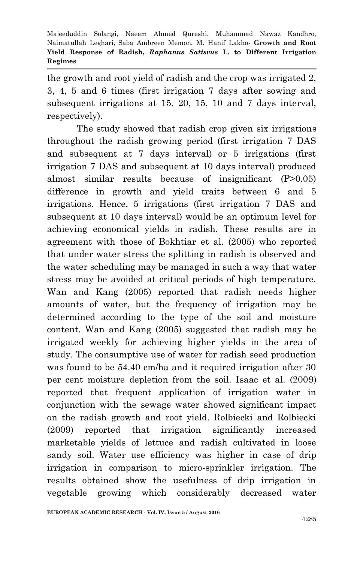the growth and root yield of radish and the crop was irrigated 2, 3, 4, 5 and 6 times (first irrigation 7 days after sowing and subsequent irrigations at 15, 20, 15, 10 and 7 days interval, respectively).

The study showed that radish crop given six irrigations throughout the radish growing period (first irrigation 7 DAS and subsequent at 7 days interval) or 5 irrigations (first irrigation 7 DAS and subsequent at 10 days interval) produced almost similar results because of insignificant (P>0.05) difference in growth and yield traits between 6 and 5 irrigations. Hence, 5 irrigations (first irrigation 7 DAS and subsequent at 10 days interval) would be an optimum level for achieving economical yields in radish. These results are in agreement with those of Bokhtiar et al. (2005) who reported that under water stress the splitting in radish is observed and the water scheduling may be managed in such a way that water stress may be avoided at critical periods of high temperature. Wan and Kang (2005) reported that radish needs higher amounts of water, but the frequency of irrigation may be determined according to the type of the soil and moisture content. Wan and Kang (2005) suggested that radish may be irrigated weekly for achieving higher yields in the area of study. The consumptive use of water for radish seed production was found to be 54.40 cm/ha and it required irrigation after 30 per cent moisture depletion from the soil. Isaac et al. (2009) reported that frequent application of irrigation water in conjunction with the sewage water showed significant impact on the radish growth and root yield. Rolbiecki and Rolbiecki (2009) reported that irrigation significantly increased marketable yields of lettuce and radish cultivated in loose sandy soil. Water use efficiency was higher in case of drip irrigation in comparison to micro-sprinkler irrigation. The results obtained show the usefulness of drip irrigation in vegetable growing which considerably decreased water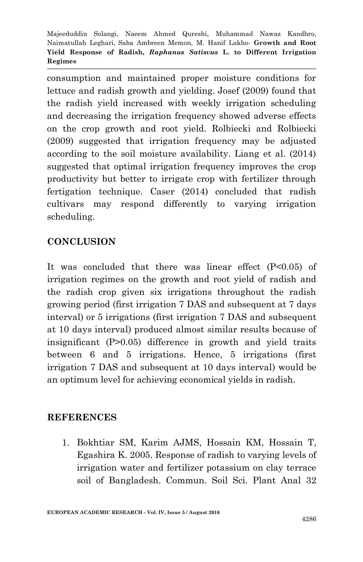consumption and maintained proper moisture conditions for lettuce and radish growth and yielding. Josef (2009) found that the radish yield increased with weekly irrigation scheduling and decreasing the irrigation frequency showed adverse effects on the crop growth and root yield. Rolbiecki and Rolbiecki (2009) suggested that irrigation frequency may be adjusted according to the soil moisture availability. Liang et al. (2014) suggested that optimal irrigation frequency improves the crop productivity but better to irrigate crop with fertilizer through fertigation technique. Caser (2014) concluded that radish cultivars may respond differently to varying irrigation scheduling.

# **CONCLUSION**

It was concluded that there was linear effect (P<0.05) of irrigation regimes on the growth and root yield of radish and the radish crop given six irrigations throughout the radish growing period (first irrigation 7 DAS and subsequent at 7 days interval) or 5 irrigations (first irrigation 7 DAS and subsequent at 10 days interval) produced almost similar results because of insignificant (P>0.05) difference in growth and yield traits between 6 and 5 irrigations. Hence, 5 irrigations (first irrigation 7 DAS and subsequent at 10 days interval) would be an optimum level for achieving economical yields in radish.

# **REFERENCES**

1. Bokhtiar SM, Karim AJMS, Hossain KM, Hossain T, Egashira K. 2005. Response of radish to varying levels of irrigation water and fertilizer potassium on clay terrace soil of Bangladesh. Commun. Soil Sci. Plant Anal 32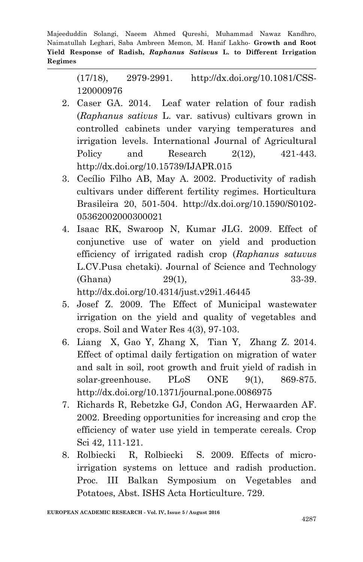> (17/18), 2979-2991. http://dx.doi.org/10.1081/CSS-120000976

- 2. Caser GA. 2014. Leaf water relation of four radish (*Raphanus sativus* L. var. sativus) cultivars grown in controlled cabinets under varying temperatures and irrigation levels. International Journal of Agricultural Policy and Research 2(12), 421-443. http://dx.doi.org/10.15739/IJAPR.015
- 3. Cecílio Filho AB, May A. 2002. Productivity of radish cultivars under different fertility regimes. Horticultura Brasileira 20, 501-504. http://dx.doi.org/10.1590/S0102- 05362002000300021
- 4. Isaac RK, Swaroop N, Kumar JLG. 2009. Effect of conjunctive use of water on yield and production efficiency of irrigated radish crop (*Raphanus satuvus*  L.CV.Pusa chetaki). Journal of Science and Technology (Ghana) 29(1), 33-39. http://dx.doi.org/10.4314/just.v29i1.46445
- 5. Josef Z. 2009. The Effect of Municipal wastewater irrigation on the yield and quality of vegetables and crops. Soil and Water Res 4(3), 97-103.
- 6. Liang X, Gao Y, Zhang X, Tian Y, Zhang Z. 2014. Effect of optimal daily fertigation on migration of water and salt in soil, root growth and fruit yield of radish in solar-greenhouse. PLoS ONE 9(1), 869-875. http://dx.doi.org/10.1371/journal.pone.0086975
- 7. Richards R, Rebetzke GJ, Condon AG, Herwaarden AF. 2002. Breeding opportunities for increasing and crop the efficiency of water use yield in temperate cereals. Crop Sci 42, 111-121.
- 8. Rolbiecki R, Rolbiecki S. 2009. Effects of microirrigation systems on lettuce and radish production. Proc. III Balkan Symposium on Vegetables and Potatoes, Abst. ISHS Acta Horticulture. 729.